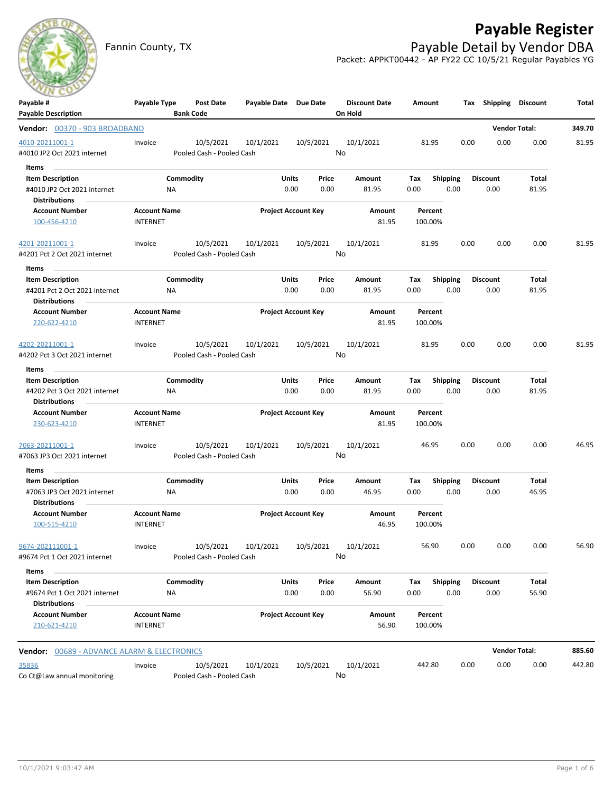

## **Payable Register**

Fannin County, TX **Payable Detail by Vendor DBA** Packet: APPKT00442 - AP FY22 CC 10/5/21 Regular Payables YG

| Payable #                                              | Payable Type                    | Post Date                 | Payable Date Due Date           |                            |       | <b>Discount Date</b> | Amount             |                 |      | Tax Shipping         | <b>Discount</b>      | Total  |
|--------------------------------------------------------|---------------------------------|---------------------------|---------------------------------|----------------------------|-------|----------------------|--------------------|-----------------|------|----------------------|----------------------|--------|
| <b>Payable Description</b>                             |                                 | <b>Bank Code</b>          |                                 |                            |       | On Hold              |                    |                 |      |                      |                      |        |
| Vendor: 00370 - 903 BROADBAND                          |                                 |                           |                                 |                            |       |                      |                    |                 |      | <b>Vendor Total:</b> |                      | 349.70 |
| 4010-20211001-1                                        | Invoice                         | 10/5/2021                 | 10/1/2021                       | 10/5/2021                  |       | 10/1/2021            | 81.95              |                 | 0.00 | 0.00                 | 0.00                 | 81.95  |
| #4010 JP2 Oct 2021 internet                            |                                 | Pooled Cash - Pooled Cash |                                 |                            | No    |                      |                    |                 |      |                      |                      |        |
| Items                                                  |                                 |                           |                                 |                            |       |                      |                    |                 |      |                      |                      |        |
| <b>Item Description</b>                                |                                 | Commodity                 |                                 | Units                      | Price | Amount               | Тах                | <b>Shipping</b> |      | <b>Discount</b>      | Total                |        |
| #4010 JP2 Oct 2021 internet                            | ΝA                              |                           |                                 | 0.00                       | 0.00  | 81.95                | 0.00               | 0.00            |      | 0.00                 | 81.95                |        |
| Distributions                                          |                                 |                           |                                 |                            |       |                      |                    |                 |      |                      |                      |        |
| <b>Account Number</b>                                  | <b>Account Name</b>             |                           |                                 | <b>Project Account Key</b> |       | Amount               | Percent            |                 |      |                      |                      |        |
| 100-456-4210                                           | <b>INTERNET</b>                 |                           |                                 |                            |       | 81.95                | 100.00%            |                 |      |                      |                      |        |
| 4201-20211001-1                                        | Invoice                         | 10/5/2021                 | 10/1/2021                       | 10/5/2021                  |       | 10/1/2021            | 81.95              |                 | 0.00 | 0.00                 | 0.00                 | 81.95  |
| #4201 Pct 2 Oct 2021 internet                          |                                 | Pooled Cash - Pooled Cash |                                 |                            | No    |                      |                    |                 |      |                      |                      |        |
| Items                                                  |                                 |                           |                                 |                            |       |                      |                    |                 |      |                      |                      |        |
| <b>Item Description</b>                                |                                 | Commodity                 |                                 | Units                      | Price | Amount               | Tax                | <b>Shipping</b> |      | <b>Discount</b>      | Total                |        |
| #4201 Pct 2 Oct 2021 internet                          | ΝA                              |                           |                                 | 0.00                       | 0.00  | 81.95                | 0.00               | 0.00            |      | 0.00                 | 81.95                |        |
| <b>Distributions</b>                                   |                                 |                           |                                 |                            |       |                      |                    |                 |      |                      |                      |        |
| <b>Account Number</b>                                  | <b>Account Name</b>             |                           |                                 | <b>Project Account Key</b> |       | Amount               | Percent            |                 |      |                      |                      |        |
| 220-622-4210                                           | <b>INTERNET</b>                 |                           |                                 |                            |       | 81.95                | 100.00%            |                 |      |                      |                      |        |
| 4202-20211001-1                                        | Invoice                         | 10/5/2021                 | 10/1/2021                       | 10/5/2021                  |       | 10/1/2021            | 81.95              |                 | 0.00 | 0.00                 | 0.00                 | 81.95  |
| #4202 Pct 3 Oct 2021 internet                          |                                 | Pooled Cash - Pooled Cash |                                 |                            | No    |                      |                    |                 |      |                      |                      |        |
| Items                                                  |                                 |                           |                                 |                            |       |                      |                    |                 |      |                      |                      |        |
| <b>Item Description</b>                                |                                 | Commodity                 |                                 | <b>Units</b>               | Price | Amount               | Tax                | <b>Shipping</b> |      | <b>Discount</b>      | Total                |        |
| #4202 Pct 3 Oct 2021 internet                          | NA                              |                           |                                 | 0.00                       | 0.00  | 81.95                | 0.00               | 0.00            |      | 0.00                 | 81.95                |        |
| <b>Distributions</b>                                   |                                 |                           |                                 |                            |       |                      |                    |                 |      |                      |                      |        |
| <b>Account Number</b>                                  | <b>Account Name</b>             |                           |                                 | <b>Project Account Key</b> |       | Amount               | Percent            |                 |      |                      |                      |        |
| 230-623-4210                                           | <b>INTERNET</b>                 |                           |                                 |                            |       | 81.95                | 100.00%            |                 |      |                      |                      |        |
| 7063-20211001-1                                        | Invoice                         | 10/5/2021                 | 10/1/2021                       | 10/5/2021                  |       | 10/1/2021            | 46.95              |                 | 0.00 | 0.00                 | 0.00                 | 46.95  |
| #7063 JP3 Oct 2021 internet                            |                                 | Pooled Cash - Pooled Cash |                                 |                            | No    |                      |                    |                 |      |                      |                      |        |
| Items                                                  |                                 |                           |                                 |                            |       |                      |                    |                 |      |                      |                      |        |
| <b>Item Description</b>                                |                                 | Commodity                 |                                 | Units                      | Price | Amount               | Tax                | <b>Shipping</b> |      | <b>Discount</b>      | Total                |        |
| #7063 JP3 Oct 2021 internet                            | ΝA                              |                           |                                 | 0.00                       | 0.00  | 46.95                | 0.00               | 0.00            |      | 0.00                 | 46.95                |        |
| <b>Distributions</b>                                   |                                 |                           |                                 |                            |       |                      |                    |                 |      |                      |                      |        |
| <b>Account Number</b><br>100-515-4210                  | <b>Account Name</b><br>INTERNET |                           |                                 | <b>Project Account Key</b> |       | Amount<br>46.95      | Percent<br>100.00% |                 |      |                      |                      |        |
|                                                        |                                 |                           |                                 |                            |       |                      |                    |                 |      |                      |                      |        |
| 9674-202111001-1<br>#9674 Pct 1 Oct 2021 internet      | Invoice                         | Pooled Cash - Pooled Cash | 10/5/2021  10/1/2021  10/5/2021 |                            | No    | 10/1/2021            | 56.90              |                 | 0.00 | 0.00                 | 0.00                 | 56.90  |
| Items                                                  |                                 |                           |                                 |                            |       |                      |                    |                 |      |                      |                      |        |
| <b>Item Description</b>                                |                                 | Commodity                 |                                 | Units                      | Price | Amount               | Tax                | <b>Shipping</b> |      | <b>Discount</b>      | Total                |        |
| #9674 Pct 1 Oct 2021 internet                          | ΝA                              |                           |                                 | 0.00                       | 0.00  | 56.90                | 0.00               | 0.00            |      | 0.00                 | 56.90                |        |
| <b>Distributions</b>                                   |                                 |                           |                                 |                            |       |                      |                    |                 |      |                      |                      |        |
| <b>Account Number</b>                                  | <b>Account Name</b>             |                           |                                 | <b>Project Account Key</b> |       | Amount               | Percent            |                 |      |                      |                      |        |
| 210-621-4210                                           | INTERNET                        |                           |                                 |                            |       | 56.90                | 100.00%            |                 |      |                      |                      |        |
| <b>Vendor: 00689 - ADVANCE ALARM &amp; ELECTRONICS</b> |                                 |                           |                                 |                            |       |                      |                    |                 |      |                      | <b>Vendor Total:</b> | 885.60 |
| 35836                                                  | Invoice                         | 10/5/2021                 | 10/1/2021                       | 10/5/2021                  |       | 10/1/2021            | 442.80             |                 | 0.00 | 0.00                 | 0.00                 | 442.80 |
| Co Ct@Law annual monitoring                            |                                 | Pooled Cash - Pooled Cash |                                 |                            | No    |                      |                    |                 |      |                      |                      |        |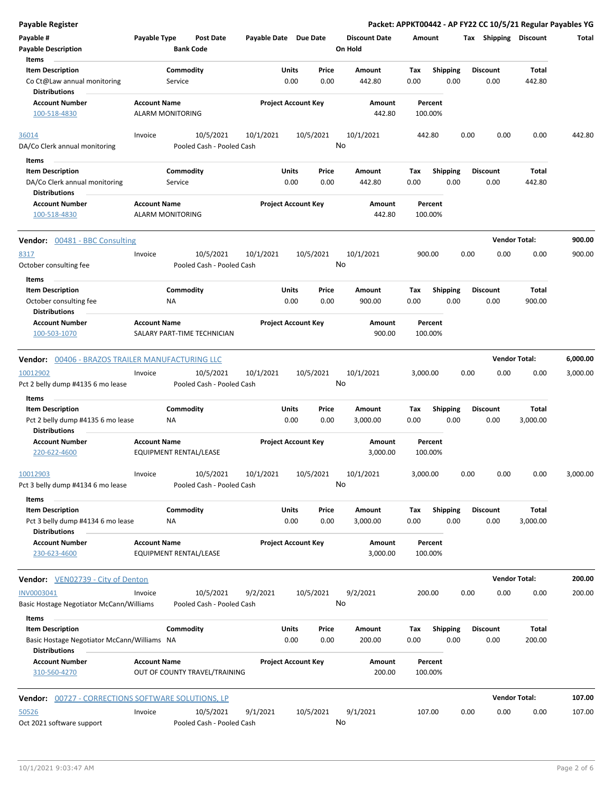| <b>Payable Register</b>                                                              |                                                |                  |                                        |                       |               |                            |                                 |                    |                         |      |                         |                   | Packet: APPKT00442 - AP FY22 CC 10/5/21 Regular Payables YG |
|--------------------------------------------------------------------------------------|------------------------------------------------|------------------|----------------------------------------|-----------------------|---------------|----------------------------|---------------------------------|--------------------|-------------------------|------|-------------------------|-------------------|-------------------------------------------------------------|
| Payable #<br><b>Payable Description</b>                                              | Payable Type                                   | <b>Bank Code</b> | Post Date                              | Payable Date Due Date |               |                            | <b>Discount Date</b><br>On Hold | Amount             |                         |      | Tax Shipping Discount   |                   | Total                                                       |
| Items                                                                                |                                                |                  |                                        |                       |               |                            |                                 |                    |                         |      |                         |                   |                                                             |
| <b>Item Description</b>                                                              |                                                | Commodity        |                                        |                       | Units         | Price                      | Amount                          | Tax                | <b>Shipping</b>         |      | <b>Discount</b>         | Total             |                                                             |
| Co Ct@Law annual monitoring<br><b>Distributions</b>                                  |                                                | Service          |                                        |                       | 0.00          | 0.00                       | 442.80                          | 0.00               | 0.00                    |      | 0.00                    | 442.80            |                                                             |
| <b>Account Number</b><br>100-518-4830                                                | <b>Account Name</b><br><b>ALARM MONITORING</b> |                  |                                        |                       |               | <b>Project Account Key</b> | Amount<br>442.80                |                    | Percent<br>100.00%      |      |                         |                   |                                                             |
|                                                                                      |                                                |                  |                                        |                       |               |                            |                                 |                    |                         |      |                         |                   |                                                             |
| 36014<br>DA/Co Clerk annual monitoring                                               | Invoice                                        |                  | 10/5/2021<br>Pooled Cash - Pooled Cash | 10/1/2021             |               | 10/5/2021                  | 10/1/2021<br>No                 |                    | 442.80                  | 0.00 | 0.00                    | 0.00              | 442.80                                                      |
| Items                                                                                |                                                |                  |                                        |                       |               |                            |                                 |                    |                         |      |                         |                   |                                                             |
| <b>Item Description</b>                                                              |                                                | Commodity        |                                        |                       | Units         | Price                      | Amount                          | Tax                | Shipping                |      | <b>Discount</b>         | Total             |                                                             |
| DA/Co Clerk annual monitoring<br><b>Distributions</b>                                |                                                | Service          |                                        |                       | 0.00          | 0.00                       | 442.80                          | 0.00               | 0.00                    |      | 0.00                    | 442.80            |                                                             |
| <b>Account Number</b><br>100-518-4830                                                | <b>Account Name</b><br><b>ALARM MONITORING</b> |                  |                                        |                       |               | <b>Project Account Key</b> | Amount<br>442.80                |                    | Percent<br>100.00%      |      |                         |                   |                                                             |
|                                                                                      |                                                |                  |                                        |                       |               |                            |                                 |                    |                         |      | <b>Vendor Total:</b>    |                   |                                                             |
| Vendor: 00481 - BBC Consulting                                                       |                                                |                  |                                        |                       |               |                            |                                 |                    |                         |      |                         |                   | 900.00                                                      |
| 8317<br>October consulting fee                                                       | Invoice                                        |                  | 10/5/2021<br>Pooled Cash - Pooled Cash | 10/1/2021             |               | 10/5/2021                  | 10/1/2021<br>No                 |                    | 900.00                  | 0.00 | 0.00                    | 0.00              | 900.00                                                      |
| Items                                                                                |                                                |                  |                                        |                       |               |                            |                                 |                    |                         |      |                         |                   |                                                             |
| <b>Item Description</b>                                                              |                                                | Commodity        |                                        |                       | Units         | Price                      | Amount                          | Tax                | Shipping                |      | <b>Discount</b>         | Total             |                                                             |
| October consulting fee<br>Distributions                                              |                                                | ΝA               |                                        |                       | 0.00          | 0.00                       | 900.00                          | 0.00               | 0.00                    |      | 0.00                    | 900.00            |                                                             |
| <b>Account Number</b><br>100-503-1070                                                | <b>Account Name</b>                            |                  | SALARY PART-TIME TECHNICIAN            |                       |               | <b>Project Account Key</b> | Amount<br>900.00                |                    | Percent<br>100.00%      |      |                         |                   |                                                             |
| <b>Vendor: 00406 - BRAZOS TRAILER MANUFACTURING LLC</b>                              |                                                |                  |                                        |                       |               |                            |                                 |                    |                         |      | <b>Vendor Total:</b>    |                   | 6,000.00                                                    |
| 10012902                                                                             | Invoice                                        |                  | 10/5/2021                              | 10/1/2021             |               | 10/5/2021                  | 10/1/2021                       | 3,000.00           |                         | 0.00 | 0.00                    | 0.00              | 3,000.00                                                    |
| Pct 2 belly dump #4135 6 mo lease<br>Items                                           |                                                |                  | Pooled Cash - Pooled Cash              |                       |               |                            | No                              |                    |                         |      |                         |                   |                                                             |
| <b>Item Description</b>                                                              |                                                | Commodity        |                                        |                       | Units         | Price                      | Amount                          | Tax                | <b>Shipping</b>         |      | <b>Discount</b>         | Total             |                                                             |
| Pct 2 belly dump #4135 6 mo lease<br><b>Distributions</b>                            |                                                | NA               |                                        |                       | 0.00          | 0.00                       | 3,000.00                        | 0.00               | 0.00                    |      | 0.00                    | 3,000.00          |                                                             |
| <b>Account Number</b><br>220-622-4600                                                | <b>Account Name</b><br>EQUIPMENT RENTAL/LEASE  |                  |                                        |                       |               | <b>Project Account Key</b> | Amount<br>3,000.00              |                    | Percent<br>100.00%      |      |                         |                   |                                                             |
| 10012903                                                                             | Invoice                                        |                  | 10/5/2021                              | 10/1/2021             |               | 10/5/2021                  | 10/1/2021                       | 3,000.00           |                         | 0.00 | 0.00                    | 0.00              | 3,000.00                                                    |
| Pct 3 belly dump #4134 6 mo lease                                                    |                                                |                  | Pooled Cash - Pooled Cash              |                       |               |                            | No                              |                    |                         |      |                         |                   |                                                             |
| Items                                                                                |                                                |                  |                                        |                       |               |                            |                                 |                    |                         |      |                         |                   |                                                             |
| <b>Item Description</b><br>Pct 3 belly dump #4134 6 mo lease<br><b>Distributions</b> |                                                | Commodity<br>ΝA  |                                        |                       | Units<br>0.00 | Price<br>0.00              | Amount<br>3,000.00              | Tax<br>0.00        | <b>Shipping</b><br>0.00 |      | <b>Discount</b><br>0.00 | Total<br>3,000.00 |                                                             |
| <b>Account Number</b><br>230-623-4600                                                | <b>Account Name</b><br>EQUIPMENT RENTAL/LEASE  |                  |                                        |                       |               | <b>Project Account Key</b> | Amount<br>3,000.00              | Percent<br>100.00% |                         |      |                         |                   |                                                             |
| Vendor: VEN02739 - City of Denton                                                    |                                                |                  |                                        |                       |               |                            |                                 |                    |                         |      | <b>Vendor Total:</b>    |                   | 200.00                                                      |
| INV0003041                                                                           | Invoice                                        |                  | 10/5/2021                              | 9/2/2021              |               | 10/5/2021                  | 9/2/2021                        |                    | 200.00                  | 0.00 | 0.00                    | 0.00              | 200.00                                                      |
| Basic Hostage Negotiator McCann/Williams                                             |                                                |                  | Pooled Cash - Pooled Cash              |                       |               |                            | No                              |                    |                         |      |                         |                   |                                                             |
| Items<br><b>Item Description</b>                                                     |                                                | Commodity        |                                        |                       | Units         | Price                      | Amount                          | Tax                | <b>Shipping</b>         |      | <b>Discount</b>         | Total             |                                                             |
| Basic Hostage Negotiator McCann/Williams NA<br><b>Distributions</b>                  |                                                |                  |                                        |                       | 0.00          | 0.00                       | 200.00                          | 0.00               | 0.00                    |      | 0.00                    | 200.00            |                                                             |
| Account Number<br>310-560-4270                                                       | <b>Account Name</b>                            |                  | OUT OF COUNTY TRAVEL/TRAINING          |                       |               | <b>Project Account Key</b> | Amount<br>200.00                |                    | Percent<br>100.00%      |      |                         |                   |                                                             |
| <b>Vendor:</b> 00727 - CORRECTIONS SOFTWARE SOLUTIONS, LP                            |                                                |                  |                                        |                       |               |                            |                                 |                    |                         |      | <b>Vendor Total:</b>    |                   | 107.00                                                      |
| 50526                                                                                | Invoice                                        |                  | 10/5/2021                              | 9/1/2021              |               | 10/5/2021                  | 9/1/2021                        |                    | 107.00                  | 0.00 | 0.00                    | 0.00              | 107.00                                                      |
| Oct 2021 software support                                                            |                                                |                  | Pooled Cash - Pooled Cash              |                       |               |                            | No                              |                    |                         |      |                         |                   |                                                             |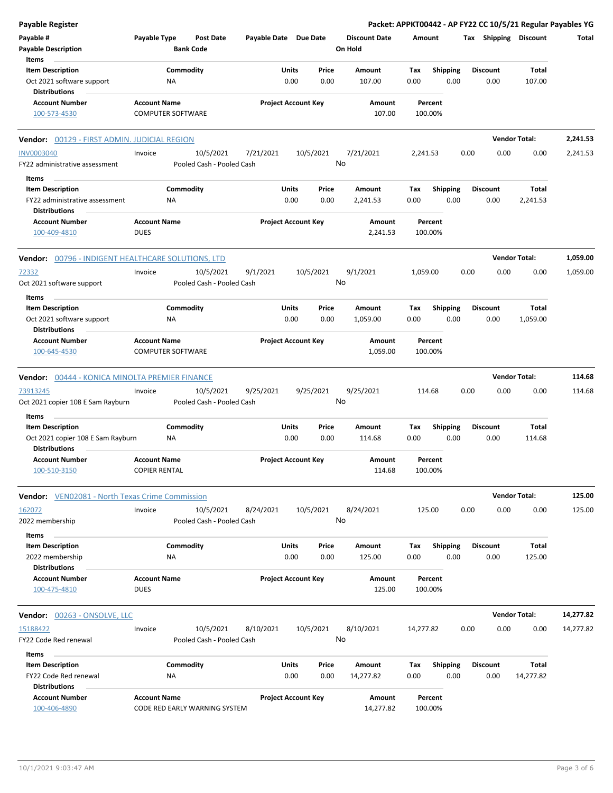| <b>Payable Register</b>                                   |                                             |                                        |                            |                            |                                 |                    |                         |      |                         |                       | Packet: APPKT00442 - AP FY22 CC 10/5/21 Regular Payables YG |
|-----------------------------------------------------------|---------------------------------------------|----------------------------------------|----------------------------|----------------------------|---------------------------------|--------------------|-------------------------|------|-------------------------|-----------------------|-------------------------------------------------------------|
| Payable #<br><b>Payable Description</b>                   | Payable Type                                | <b>Post Date</b><br><b>Bank Code</b>   | Payable Date Due Date      |                            | <b>Discount Date</b><br>On Hold | Amount             |                         |      |                         | Tax Shipping Discount | Total                                                       |
| Items                                                     |                                             |                                        |                            |                            |                                 |                    |                         |      |                         |                       |                                                             |
| <b>Item Description</b>                                   | Commodity                                   |                                        | Units                      | Price                      | Amount                          | Tax                | <b>Shipping</b>         |      | <b>Discount</b>         | Total                 |                                                             |
| Oct 2021 software support<br><b>Distributions</b>         | <b>NA</b>                                   |                                        |                            | 0.00<br>0.00               | 107.00                          | 0.00               | 0.00                    |      | 0.00                    | 107.00                |                                                             |
| <b>Account Number</b>                                     | <b>Account Name</b>                         |                                        |                            | <b>Project Account Key</b> | Amount                          |                    | Percent                 |      |                         |                       |                                                             |
| 100-573-4530                                              | <b>COMPUTER SOFTWARE</b>                    |                                        |                            |                            | 107.00                          | 100.00%            |                         |      |                         |                       |                                                             |
| Vendor: 00129 - FIRST ADMIN. JUDICIAL REGION              |                                             |                                        |                            |                            |                                 |                    |                         |      |                         | <b>Vendor Total:</b>  | 2,241.53                                                    |
| <b>INV0003040</b>                                         | Invoice                                     | 10/5/2021                              | 7/21/2021                  | 10/5/2021                  | 7/21/2021                       | 2,241.53           |                         | 0.00 | 0.00                    | 0.00                  | 2,241.53                                                    |
| FY22 administrative assessment                            |                                             | Pooled Cash - Pooled Cash              |                            |                            | No                              |                    |                         |      |                         |                       |                                                             |
| Items                                                     |                                             |                                        |                            |                            |                                 |                    |                         |      |                         |                       |                                                             |
| <b>Item Description</b>                                   | Commodity                                   |                                        | <b>Units</b>               | Price                      | Amount                          | Tax                | <b>Shipping</b>         |      | <b>Discount</b>         | Total                 |                                                             |
| FY22 administrative assessment                            | <b>NA</b>                                   |                                        |                            | 0.00<br>0.00               | 2,241.53                        | 0.00               | 0.00                    |      | 0.00                    | 2,241.53              |                                                             |
| Distributions                                             |                                             |                                        |                            |                            |                                 |                    |                         |      |                         |                       |                                                             |
| <b>Account Number</b>                                     | <b>Account Name</b>                         |                                        |                            | <b>Project Account Key</b> | Amount                          |                    | Percent                 |      |                         |                       |                                                             |
| 100-409-4810                                              | <b>DUES</b>                                 |                                        |                            |                            | 2,241.53                        | 100.00%            |                         |      |                         |                       |                                                             |
| Vendor: 00796 - INDIGENT HEALTHCARE SOLUTIONS, LTD        |                                             |                                        |                            |                            |                                 |                    |                         |      |                         | <b>Vendor Total:</b>  | 1,059.00                                                    |
| 72332                                                     | Invoice                                     | 10/5/2021                              | 9/1/2021                   | 10/5/2021                  | 9/1/2021                        | 1,059.00           |                         | 0.00 | 0.00                    | 0.00                  | 1,059.00                                                    |
| Oct 2021 software support                                 |                                             | Pooled Cash - Pooled Cash              |                            |                            | No                              |                    |                         |      |                         |                       |                                                             |
| Items                                                     |                                             |                                        |                            |                            |                                 |                    |                         |      |                         |                       |                                                             |
| <b>Item Description</b>                                   | Commodity<br>ΝA                             |                                        | Units                      | Price<br>0.00<br>0.00      | Amount                          | Tax<br>0.00        | <b>Shipping</b><br>0.00 |      | <b>Discount</b><br>0.00 | Total<br>1,059.00     |                                                             |
| Oct 2021 software support<br><b>Distributions</b>         |                                             |                                        |                            |                            | 1,059.00                        |                    |                         |      |                         |                       |                                                             |
| <b>Account Number</b>                                     | <b>Account Name</b>                         |                                        |                            | <b>Project Account Key</b> | Amount                          |                    | Percent                 |      |                         |                       |                                                             |
| 100-645-4530                                              | <b>COMPUTER SOFTWARE</b>                    |                                        |                            |                            | 1,059.00                        | 100.00%            |                         |      |                         |                       |                                                             |
| Vendor: 00444 - KONICA MINOLTA PREMIER FINANCE            |                                             |                                        |                            |                            |                                 |                    |                         |      |                         | <b>Vendor Total:</b>  | 114.68                                                      |
| 73913245                                                  | Invoice                                     | 10/5/2021                              | 9/25/2021                  | 9/25/2021                  | 9/25/2021                       | 114.68             |                         | 0.00 | 0.00                    | 0.00                  | 114.68                                                      |
| Oct 2021 copier 108 E Sam Rayburn                         |                                             | Pooled Cash - Pooled Cash              |                            |                            | No                              |                    |                         |      |                         |                       |                                                             |
| Items                                                     |                                             |                                        |                            |                            |                                 |                    |                         |      |                         |                       |                                                             |
| <b>Item Description</b>                                   | Commodity                                   |                                        | Units                      | Price                      | Amount                          | Tax                | Shipping                |      | <b>Discount</b>         | Total                 |                                                             |
| Oct 2021 copier 108 E Sam Rayburn<br><b>Distributions</b> | ΝA                                          |                                        |                            | 0.00<br>0.00               | 114.68                          | 0.00               | 0.00                    |      | 0.00                    | 114.68                |                                                             |
| Account Number<br>100-510-3150                            | <b>Account Name</b><br><b>COPIER RENTAL</b> |                                        | <b>Project Account Key</b> |                            | Amount<br>114.68                | Percent<br>100.00% |                         |      |                         |                       |                                                             |
|                                                           |                                             |                                        |                            |                            |                                 |                    |                         |      |                         |                       |                                                             |
| <b>Vendor:</b> VEN02081 - North Texas Crime Commission    |                                             |                                        |                            |                            |                                 |                    |                         |      |                         | <b>Vendor Total:</b>  | 125.00                                                      |
| 162072                                                    | Invoice                                     | 10/5/2021                              | 8/24/2021                  | 10/5/2021                  | 8/24/2021                       | 125.00             |                         | 0.00 | 0.00                    | 0.00                  | 125.00                                                      |
| 2022 membership                                           |                                             | Pooled Cash - Pooled Cash              |                            |                            | No                              |                    |                         |      |                         |                       |                                                             |
| Items<br><b>Item Description</b>                          | Commodity                                   |                                        | <b>Units</b>               | Price                      | Amount                          | Tax                |                         |      | Discount                | Total                 |                                                             |
| 2022 membership                                           | ΝA                                          |                                        |                            | 0.00<br>0.00               | 125.00                          | 0.00               | <b>Shipping</b><br>0.00 |      | 0.00                    | 125.00                |                                                             |
| <b>Distributions</b>                                      |                                             |                                        |                            |                            |                                 |                    |                         |      |                         |                       |                                                             |
| <b>Account Number</b><br>100-475-4810                     | <b>Account Name</b><br><b>DUES</b>          |                                        |                            | <b>Project Account Key</b> | Amount<br>125.00                | 100.00%            | Percent                 |      |                         |                       |                                                             |
| <b>Vendor: 00263 - ONSOLVE, LLC</b>                       |                                             |                                        |                            |                            |                                 |                    |                         |      |                         | <b>Vendor Total:</b>  | 14,277.82                                                   |
|                                                           |                                             |                                        |                            |                            |                                 |                    |                         |      |                         |                       |                                                             |
| 15188422<br>FY22 Code Red renewal                         | Invoice                                     | 10/5/2021<br>Pooled Cash - Pooled Cash | 8/10/2021                  | 10/5/2021                  | 8/10/2021<br>No                 | 14,277.82          |                         | 0.00 | 0.00                    | 0.00                  | 14,277.82                                                   |
|                                                           |                                             |                                        |                            |                            |                                 |                    |                         |      |                         |                       |                                                             |
| Items                                                     |                                             |                                        |                            |                            |                                 |                    |                         |      |                         |                       |                                                             |
| <b>Item Description</b>                                   | Commodity                                   |                                        | <b>Units</b>               | Price                      | Amount                          | Tax                | <b>Shipping</b>         |      | Discount                | Total                 |                                                             |
| FY22 Code Red renewal<br><b>Distributions</b>             | <b>NA</b>                                   |                                        |                            | 0.00<br>0.00               | 14,277.82                       | 0.00               | 0.00                    |      | 0.00                    | 14,277.82             |                                                             |
| <b>Account Number</b>                                     | <b>Account Name</b>                         |                                        |                            | <b>Project Account Key</b> | Amount                          |                    | Percent                 |      |                         |                       |                                                             |
| 100-406-4890                                              | CODE RED EARLY WARNING SYSTEM               |                                        |                            |                            | 14,277.82                       | 100.00%            |                         |      |                         |                       |                                                             |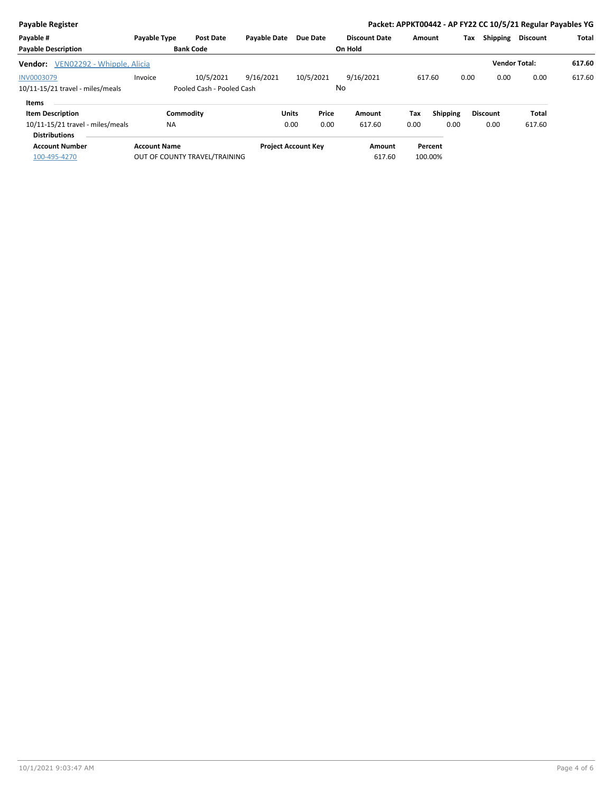| <b>Payable Register</b>                                  |                     |                               |                     |                            |                      |        |                 |                 | Packet: APPKT00442 - AP FY22 CC 10/5/21 Regular Payables YG |        |
|----------------------------------------------------------|---------------------|-------------------------------|---------------------|----------------------------|----------------------|--------|-----------------|-----------------|-------------------------------------------------------------|--------|
| Payable #                                                | Payable Type        | <b>Post Date</b>              | <b>Payable Date</b> | Due Date                   | <b>Discount Date</b> | Amount |                 | Shipping<br>Tax | <b>Discount</b>                                             | Total  |
| <b>Payable Description</b>                               |                     | <b>Bank Code</b>              |                     |                            | On Hold              |        |                 |                 |                                                             |        |
| VEN02292 - Whipple, Alicia<br>Vendor:                    |                     |                               |                     |                            |                      |        |                 |                 | <b>Vendor Total:</b>                                        | 617.60 |
| <b>INV0003079</b>                                        | Invoice             | 10/5/2021                     | 9/16/2021           | 10/5/2021                  | 9/16/2021            | 617.60 |                 | 0.00<br>0.00    | 0.00                                                        | 617.60 |
| 10/11-15/21 travel - miles/meals                         |                     | Pooled Cash - Pooled Cash     |                     |                            | No                   |        |                 |                 |                                                             |        |
| Items                                                    |                     |                               |                     |                            |                      |        |                 |                 |                                                             |        |
| <b>Item Description</b>                                  |                     | Commodity                     | Units               | Price                      | Amount               | Tax    | <b>Shipping</b> | <b>Discount</b> | <b>Total</b>                                                |        |
| 10/11-15/21 travel - miles/meals<br><b>Distributions</b> | <b>NA</b>           |                               |                     | 0.00<br>0.00               | 617.60               | 0.00   | 0.00            | 0.00            | 617.60                                                      |        |
| <b>Account Number</b>                                    | <b>Account Name</b> |                               |                     | <b>Project Account Key</b> | Amount               |        | Percent         |                 |                                                             |        |
| 100-495-4270                                             |                     | OUT OF COUNTY TRAVEL/TRAINING |                     |                            | 617.60               |        | 100.00%         |                 |                                                             |        |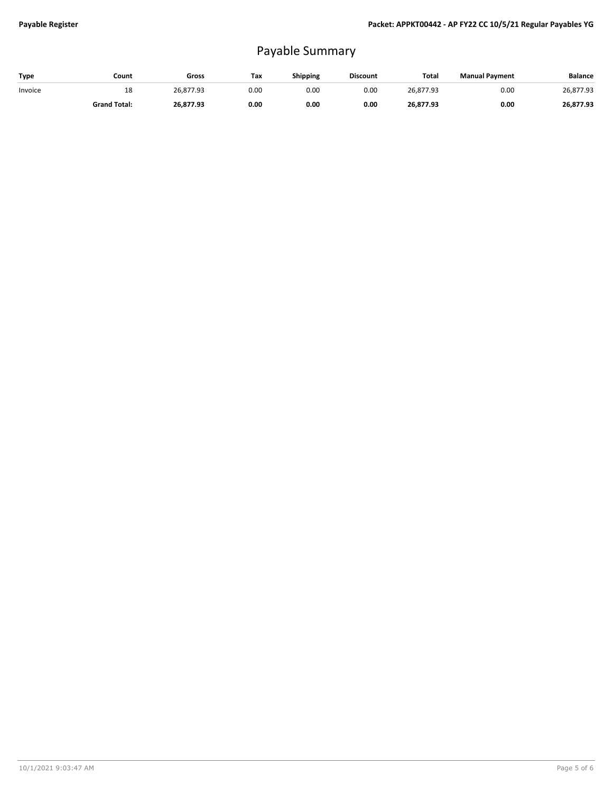## Payable Summary

| Type    | Count               | Gross     | Tax  | Shipping | <b>Discount</b> | Total     | <b>Manual Payment</b> | <b>Balance</b> |
|---------|---------------------|-----------|------|----------|-----------------|-----------|-----------------------|----------------|
| Invoice | 18                  | 26.877.93 | 0.00 | 0.00     | 0.00            | 26.877.93 | 0.00                  | 26,877.93      |
|         | <b>Grand Total:</b> | 26.877.93 | 0.00 | 0.00     | 0.00            | 26,877.93 | 0.00                  | 26,877.93      |